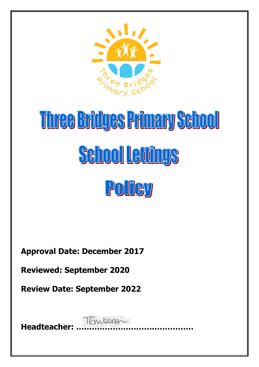

# Three Bridges Primary School **School Lettings** POITCY

**Approval Date: December 2017**

**Reviewed: September 2020**

**Review Date: September 2022**

**Headteacher: ………………………………………**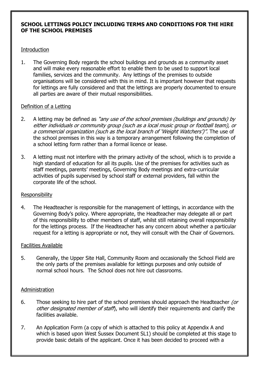# **SCHOOL LETTINGS POLICY INCLUDING TERMS AND CONDITIONS FOR THE HIRE OF THE SCHOOL PREMISES**

## **Introduction**

1. The Governing Body regards the school buildings and grounds as a community asset and will make every reasonable effort to enable them to be used to support local families, services and the community. Any lettings of the premises to outside organisations will be considered with this in mind. It is important however that requests for lettings are fully considered and that the lettings are properly documented to ensure all parties are aware of their mutual responsibilities.

# Definition of a Letting

- 2. A letting may be defined as "any use of the school premises (buildings and grounds) by either individuals or community group (such as a local music group or football team), or a commercial organization (such as the local branch of 'Weight Watchers')". The use of the school premises in this way is a temporary arrangement following the completion of a school letting form rather than a formal licence or lease.
- 3. A letting must not interfere with the primary activity of the school, which is to provide a high standard of education for all its pupils. Use of the premises for activities such as staff meetings, parents' meetings, Governing Body meetings and extra-curricular activities of pupils supervised by school staff or external providers, fall within the corporate life of the school.

## Responsibility

4. The Headteacher is responsible for the management of lettings, in accordance with the Governing Body's policy. Where appropriate, the Headteacher may delegate all or part of this responsibility to other members of staff, whilst still retaining overall responsibility for the lettings process. If the Headteacher has any concern about whether a particular request for a letting is appropriate or not, they will consult with the Chair of Governors.

## Facilities Available

5. Generally, the Upper Site Hall, Community Room and occasionally the School Field are the only parts of the premises available for lettings purposes and only outside of normal school hours. The School does not hire out classrooms.

# Administration

- 6. Those seeking to hire part of the school premises should approach the Headteacher (or other designated member of staff), who will identify their requirements and clarify the facilities available.
- 7. An Application Form (a copy of which is attached to this policy at Appendix A and which is based upon West Sussex Document SL1) should be completed at this stage to provide basic details of the applicant. Once it has been decided to proceed with a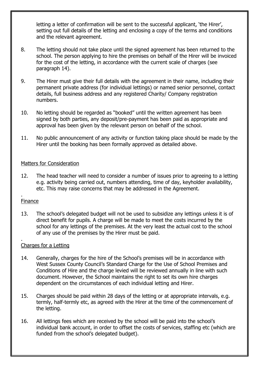letting a letter of confirmation will be sent to the successful applicant, 'the Hirer', setting out full details of the letting and enclosing a copy of the terms and conditions and the relevant agreement.

- 8. The letting should not take place until the signed agreement has been returned to the school. The person applying to hire the premises on behalf of the Hirer will be invoiced for the cost of the letting, in accordance with the current scale of charges (see paragraph 14).
- 9. The Hirer must give their full details with the agreement in their name, including their permanent private address (for individual lettings) or named senior personnel, contact details, full business address and any registered Charity/ Company registration numbers.
- 10. No letting should be regarded as "booked" until the written agreement has been signed by both parties, any deposit/pre-payment has been paid as appropriate and approval has been given by the relevant person on behalf of the school.
- 11. No public announcement of any activity or function taking place should be made by the Hirer until the booking has been formally approved as detailed above.

## Matters for Consideration

12. The head teacher will need to consider a number of issues prior to agreeing to a letting e.g. activity being carried out, numbers attending, time of day, keyholder availability, etc. This may raise concerns that may be addressed in the Agreement.

#### . Finance

.

13. The school's delegated budget will not be used to subsidize any lettings unless it is of direct benefit for pupils. A charge will be made to meet the costs incurred by the school for any lettings of the premises. At the very least the actual cost to the school of any use of the premises by the Hirer must be paid.

## Charges for a Letting

- 14. Generally, charges for the hire of the School's premises will be in accordance with West Sussex County Council's Standard Charge for the Use of School Premises and Conditions of Hire and the charge levied will be reviewed annually in line with such document. However, the School maintains the right to set its own hire charges dependent on the circumstances of each individual letting and Hirer.
- 15. Charges should be paid within 28 days of the letting or at appropriate intervals, e.g. termly, half-termly etc, as agreed with the Hirer at the time of the commencement of the letting.
- 16. All lettings fees which are received by the school will be paid into the school's individual bank account, in order to offset the costs of services, staffing etc (which are funded from the school's delegated budget).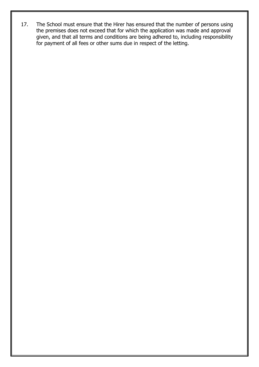17. The School must ensure that the Hirer has ensured that the number of persons using the premises does not exceed that for which the application was made and approval given, and that all terms and conditions are being adhered to, including responsibility for payment of all fees or other sums due in respect of the letting.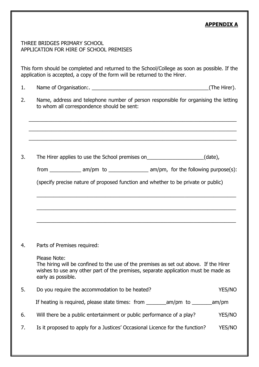# **APPENDIX A**

# THREE BRIDGES PRIMARY SCHOOL APPLICATION FOR HIRE OF SCHOOL PREMISES

This form should be completed and returned to the School/College as soon as possible. If the application is accepted, a copy of the form will be returned to the Hirer.

- 1. Name of Organisation:.
- 2. Name, address and telephone number of person responsible for organising the letting to whom all correspondence should be sent:

\_\_\_\_\_\_\_\_\_\_\_\_\_\_\_\_\_\_\_\_\_\_\_\_\_\_\_\_\_\_\_\_\_\_\_\_\_\_\_\_\_\_\_\_\_\_\_\_\_\_\_\_\_\_\_\_\_\_\_\_\_\_\_\_\_\_\_\_\_\_\_\_\_

\_\_\_\_\_\_\_\_\_\_\_\_\_\_\_\_\_\_\_\_\_\_\_\_\_\_\_\_\_\_\_\_\_\_\_\_\_\_\_\_\_\_\_\_\_\_\_\_\_\_\_\_\_\_\_\_\_\_\_\_\_\_\_\_\_\_\_\_\_\_\_\_\_

\_\_\_\_\_\_\_\_\_\_\_\_\_\_\_\_\_\_\_\_\_\_\_\_\_\_\_\_\_\_\_\_\_\_\_\_\_\_\_\_\_\_\_\_\_\_\_\_\_\_\_\_\_\_\_\_\_\_\_\_\_\_\_\_\_\_\_\_\_\_\_\_\_

3. The Hirer applies to use the School premises on \_\_\_\_\_\_\_\_\_\_\_\_\_\_\_\_\_(date),

| trom | $am/m$ to | am/pm, for the following purpose(s): |
|------|-----------|--------------------------------------|
|------|-----------|--------------------------------------|

\_\_\_\_\_\_\_\_\_\_\_\_\_\_\_\_\_\_\_\_\_\_\_\_\_\_\_\_\_\_\_\_\_\_\_\_\_\_\_\_\_\_\_\_\_\_\_\_\_\_\_\_\_\_\_\_\_\_\_\_\_\_\_\_\_\_\_\_\_\_

\_\_\_\_\_\_\_\_\_\_\_\_\_\_\_\_\_\_\_\_\_\_\_\_\_\_\_\_\_\_\_\_\_\_\_\_\_\_\_\_\_\_\_\_\_\_\_\_\_\_\_\_\_\_\_\_\_\_\_\_\_\_\_\_\_\_\_\_\_\_

\_\_\_\_\_\_\_\_\_\_\_\_\_\_\_\_\_\_\_\_\_\_\_\_\_\_\_\_\_\_\_\_\_\_\_\_\_\_\_\_\_\_\_\_\_\_\_\_\_\_\_\_\_\_\_\_\_\_\_\_\_\_\_\_\_\_\_\_\_\_

(specify precise nature of proposed function and whether to be private or public)

4. Parts of Premises required:

Please Note:

The hiring will be confined to the use of the premises as set out above. If the Hirer wishes to use any other part of the premises, separate application must be made as early as possible.

| 5. | Do you require the accommodation to be heated?                               | <b>YES/NO</b> |
|----|------------------------------------------------------------------------------|---------------|
|    |                                                                              | am/pm         |
| 6. | Will there be a public entertainment or public performance of a play?        | <b>YES/NO</b> |
|    | Is it proposed to apply for a Justices' Occasional Licence for the function? | <b>YES/NO</b> |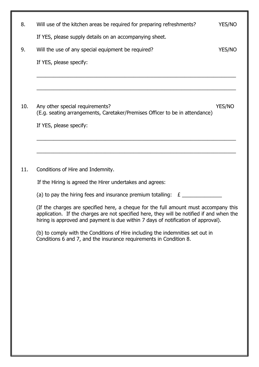| 8.  | Will use of the kitchen areas be required for preparing refreshments?                                                                                                                                                                                                  | YES/NO |
|-----|------------------------------------------------------------------------------------------------------------------------------------------------------------------------------------------------------------------------------------------------------------------------|--------|
|     | If YES, please supply details on an accompanying sheet.                                                                                                                                                                                                                |        |
| 9.  | Will the use of any special equipment be required?                                                                                                                                                                                                                     | YES/NO |
|     | If YES, please specify:                                                                                                                                                                                                                                                |        |
|     |                                                                                                                                                                                                                                                                        |        |
|     |                                                                                                                                                                                                                                                                        |        |
| 10. | Any other special requirements?<br>(E.g. seating arrangements, Caretaker/Premises Officer to be in attendance)                                                                                                                                                         | YES/NO |
|     | If YES, please specify:                                                                                                                                                                                                                                                |        |
|     |                                                                                                                                                                                                                                                                        |        |
|     |                                                                                                                                                                                                                                                                        |        |
| 11. | Conditions of Hire and Indemnity.                                                                                                                                                                                                                                      |        |
|     | If the Hiring is agreed the Hirer undertakes and agrees:                                                                                                                                                                                                               |        |
|     | (a) to pay the hiring fees and insurance premium totalling: $E_{\text{2}}$                                                                                                                                                                                             |        |
|     | (If the charges are specified here, a cheque for the full amount must accompany this<br>application. If the charges are not specified here, they will be notified if and when the<br>hiring is approved and payment is due within 7 days of notification of approval). |        |
|     | (b) to comply with the Conditions of Hire including the indemnities set out in<br>Conditions 6 and 7, and the insurance requirements in Condition 8.                                                                                                                   |        |
|     |                                                                                                                                                                                                                                                                        |        |
|     |                                                                                                                                                                                                                                                                        |        |
|     |                                                                                                                                                                                                                                                                        |        |
|     |                                                                                                                                                                                                                                                                        |        |
|     |                                                                                                                                                                                                                                                                        |        |
|     |                                                                                                                                                                                                                                                                        |        |
|     |                                                                                                                                                                                                                                                                        |        |
|     |                                                                                                                                                                                                                                                                        |        |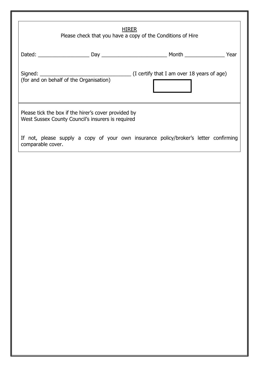| <b>HIRER</b><br>Please check that you have a copy of the Conditions of Hire                               |                                                                                                          |  |  |  |
|-----------------------------------------------------------------------------------------------------------|----------------------------------------------------------------------------------------------------------|--|--|--|
|                                                                                                           |                                                                                                          |  |  |  |
|                                                                                                           | Signed: $\frac{1}{2}$ (I certify that I am over 18 years of age) (for and on behalf of the Organisation) |  |  |  |
| Please tick the box if the hirer's cover provided by<br>West Sussex County Council's insurers is required |                                                                                                          |  |  |  |
| comparable cover.                                                                                         | If not, please supply a copy of your own insurance policy/broker's letter confirming                     |  |  |  |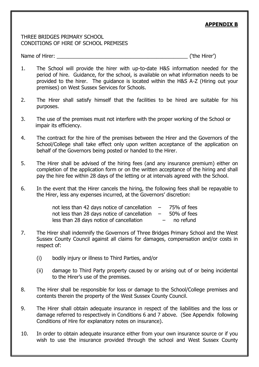# **APPENDIX B**

### THREE BRIDGES PRIMARY SCHOOL CONDITIONS OF HIRE OF SCHOOL PREMISES

Name of Hirer:  $\blacksquare$ 

- 1. The School will provide the hirer with up-to-date H&S information needed for the period of hire. Guidance, for the school, is available on what information needs to be provided to the hirer. The guidance is located within the H&S A-Z (Hiring out your premises) on West Sussex Services for Schools.
- 2. The Hirer shall satisfy himself that the facilities to be hired are suitable for his purposes.
- 3. The use of the premises must not interfere with the proper working of the School or impair its efficiency.
- 4. The contract for the hire of the premises between the Hirer and the Governors of the School/College shall take effect only upon written acceptance of the application on behalf of the Governors being posted or handed to the Hirer.
- 5. The Hirer shall be advised of the hiring fees (and any insurance premium) either on completion of the application form or on the written acceptance of the hiring and shall pay the hire fee within 28 days of the letting or at intervals agreed with the School.
- 6. In the event that the Hirer cancels the hiring, the following fees shall be repayable to the Hirer, less any expenses incurred, at the Governors' discretion:

| not less than 42 days notice of cancellation | $\overline{\phantom{0}}$ | 75% of fees |
|----------------------------------------------|--------------------------|-------------|
| not less than 28 days notice of cancellation | $\sim$                   | 50% of fees |
| less than 28 days notice of cancellation     | $-$                      | no refund   |

- 7. The Hirer shall indemnify the Governors of Three Bridges Primary School and the West Sussex County Council against all claims for damages, compensation and/or costs in respect of:
	- (i) bodily injury or illness to Third Parties, and/or
	- (ii) damage to Third Party property caused by or arising out of or being incidental to the Hirer's use of the premises.
- 8. The Hirer shall be responsible for loss or damage to the School/College premises and contents therein the property of the West Sussex County Council.
- 9. The Hirer shall obtain adequate insurance in respect of the liabilities and the loss or damage referred to respectively in Conditions 6 and 7 above. (See Appendix following Conditions of Hire for explanatory notes on insurance).
- 10. In order to obtain adequate insurance either from your own insurance source or if you wish to use the insurance provided through the school and West Sussex County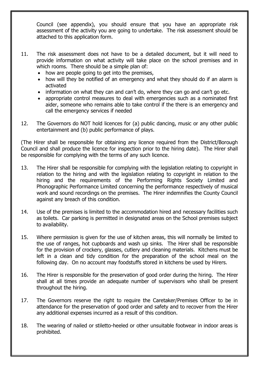Council (see appendix), you should ensure that you have an appropriate risk assessment of the activity you are going to undertake. The risk assessment should be attached to this application form.

- 11. The risk assessment does not have to be a detailed document, but it will need to provide information on what activity will take place on the school premises and in which rooms. There should be a simple plan of:
	- how are people going to get into the premises,
	- how will they be notified of an emergency and what they should do if an alarm is activated
	- information on what they can and can't do, where they can go and can't go etc.
	- appropriate control measures to deal with emergencies such as a nominated first aider, someone who remains able to take control if the there is an emergency and call the emergency services if needed
- 12. The Governors do NOT hold licences for (a) public dancing, music or any other public entertainment and (b) public performance of plays.

(The Hirer shall be responsible for obtaining any licence required from the District/Borough Council and shall produce the licence for inspection prior to the hiring date). The Hirer shall be responsible for complying with the terms of any such licence.

- 13. The Hirer shall be responsible for complying with the legislation relating to copyright in relation to the hiring and with the legislation relating to copyright in relation to the hiring and the requirements of the Performing Rights Society Limited and Phonographic Performance Limited concerning the performance respectively of musical work and sound recordings on the premises. The Hirer indemnifies the County Council against any breach of this condition.
- 14. Use of the premises is limited to the accommodation hired and necessary facilities such as toilets. Car parking is permitted in designated areas on the School premises subject to availability.
- 15. Where permission is given for the use of kitchen areas, this will normally be limited to the use of ranges, hot cupboards and wash up sinks. The Hirer shall be responsible for the provision of crockery, glasses, cutlery and cleaning materials. Kitchens must be left in a clean and tidy condition for the preparation of the school meal on the following day. On no account may foodstuffs stored in kitchens be used by Hirers.
- 16. The Hirer is responsible for the preservation of good order during the hiring. The Hirer shall at all times provide an adequate number of supervisors who shall be present throughout the hiring.
- 17. The Governors reserve the right to require the Caretaker/Premises Officer to be in attendance for the preservation of good order and safety and to recover from the Hirer any additional expenses incurred as a result of this condition.
- 18. The wearing of nailed or stiletto-heeled or other unsuitable footwear in indoor areas is prohibited.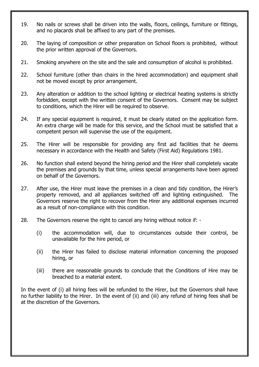- 19. No nails or screws shall be driven into the walls, floors, ceilings, furniture or fittings, and no placards shall be affixed to any part of the premises.
- 20. The laying of composition or other preparation on School floors is prohibited, without the prior written approval of the Governors.
- 21. Smoking anywhere on the site and the sale and consumption of alcohol is prohibited.
- 22. School furniture (other than chairs in the hired accommodation) and equipment shall not be moved except by prior arrangement.
- 23. Any alteration or addition to the school lighting or electrical heating systems is strictly forbidden, except with the written consent of the Governors. Consent may be subject to conditions, which the Hirer will be required to observe.
- 24. If any special equipment is required, it must be clearly stated on the application form. An extra charge will be made for this service, and the School must be satisfied that a competent person will supervise the use of the equipment.
- 25. The Hirer will be responsible for providing any first aid facilities that he deems necessary in accordance with the Health and Safety (First Aid) Regulations 1981.
- 26. No function shall extend beyond the hiring period and the Hirer shall completely vacate the premises and grounds by that time, unless special arrangements have been agreed on behalf of the Governors.
- 27. After use, the Hirer must leave the premises in a clean and tidy condition, the Hirer's property removed, and all appliances switched off and lighting extinguished. The Governors reserve the right to recover from the Hirer any additional expenses incurred as a result of non-compliance with this condition.
- 28. The Governors reserve the right to cancel any hiring without notice if:
	- (i) the accommodation will, due to circumstances outside their control, be unavailable for the hire period, or
	- (ii) the Hirer has failed to disclose material information concerning the proposed hiring, or
	- (iii) there are reasonable grounds to conclude that the Conditions of Hire may be breached to a material extent.

In the event of (i) all hiring fees will be refunded to the Hirer, but the Governors shall have no further liability to the Hirer. In the event of (ii) and (iii) any refund of hiring fees shall be at the discretion of the Governors.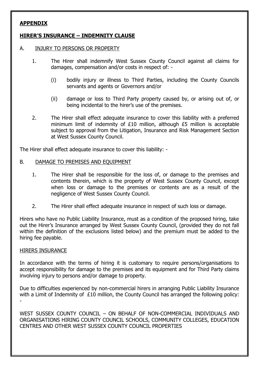# **APPENDIX**

# **HIRER'S INSURANCE – INDEMNITY CLAUSE**

#### A. INJURY TO PERSONS OR PROPERTY

- 1. The Hirer shall indemnify West Sussex County Council against all claims for damages, compensation and/or costs in respect of: -
	- (i) bodily injury or illness to Third Parties, including the County Councils servants and agents or Governors and/or
	- (ii) damage or loss to Third Party property caused by, or arising out of, or being incidental to the hirer's use of the premises.
- 2. The Hirer shall effect adequate insurance to cover this liability with a preferred minimum limit of indemnity of £10 million, although £5 million is acceptable subject to approval from the Litigation, Insurance and Risk Management Section at West Sussex County Council.

The Hirer shall effect adequate insurance to cover this liability: -

#### B. DAMAGE TO PREMISES AND EQUIPMENT

- 1. The Hirer shall be responsible for the loss of, or damage to the premises and contents therein, which is the property of West Sussex County Council, except when loss or damage to the premises or contents are as a result of the negligence of West Sussex County Council.
- 2. The Hirer shall effect adequate insurance in respect of such loss or damage.

Hirers who have no Public Liability Insurance, must as a condition of the proposed hiring, take out the Hirer's Insurance arranged by West Sussex County Council, (provided they do not fall within the definition of the exclusions listed below) and the premium must be added to the hiring fee payable.

#### HIRERS INSURANCE

In accordance with the terms of hiring it is customary to require persons/organisations to accept responsibility for damage to the premises and its equipment and for Third Party claims involving injury to persons and/or damage to property.

Due to difficulties experienced by non-commercial hirers in arranging Public Liability Insurance with a Limit of Indemnity of £10 million, the County Council has arranged the following policy: -

WEST SUSSEX COUNTY COUNCIL – ON BEHALF OF NON-COMMERCIAL INDIVIDUALS AND ORGANISATIONS HIRING COUNTY COUNCIL SCHOOLS, COMMUNITY COLLEGES, EDUCATION CENTRES AND OTHER WEST SUSSEX COUNTY COUNCIL PROPERTIES